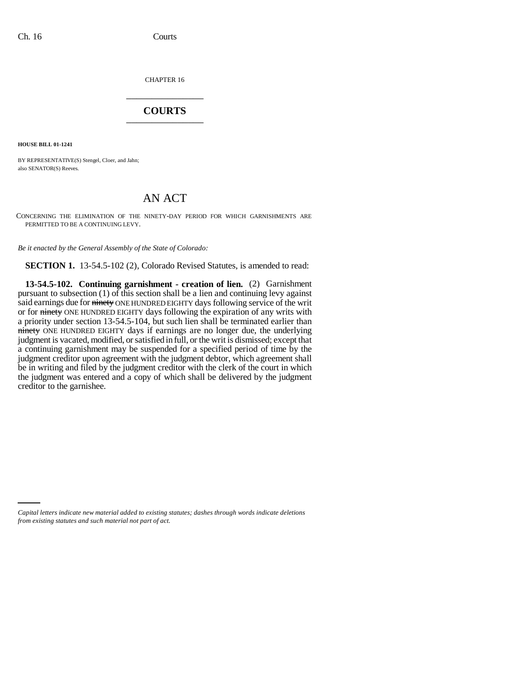CHAPTER 16 \_\_\_\_\_\_\_\_\_\_\_\_\_\_\_

## **COURTS** \_\_\_\_\_\_\_\_\_\_\_\_\_\_\_

**HOUSE BILL 01-1241**

BY REPRESENTATIVE(S) Stengel, Cloer, and Jahn; also SENATOR(S) Reeves.

## AN ACT

CONCERNING THE ELIMINATION OF THE NINETY-DAY PERIOD FOR WHICH GARNISHMENTS ARE PERMITTED TO BE A CONTINUING LEVY.

*Be it enacted by the General Assembly of the State of Colorado:*

**SECTION 1.** 13-54.5-102 (2), Colorado Revised Statutes, is amended to read:

**13-54.5-102. Continuing garnishment - creation of lien.** (2) Garnishment pursuant to subsection (1) of this section shall be a lien and continuing levy against said earnings due for ninety ONE HUNDRED EIGHTY days following service of the writ or for ninety ONE HUNDRED EIGHTY days following the expiration of any writs with a priority under section 13-54.5-104, but such lien shall be terminated earlier than ninety ONE HUNDRED EIGHTY days if earnings are no longer due, the underlying judgment is vacated, modified, or satisfied in full, or the writ is dismissed; except that a continuing garnishment may be suspended for a specified period of time by the judgment creditor upon agreement with the judgment debtor, which agreement shall be in writing and filed by the judgment creditor with the clerk of the court in which the judgment was entered and a copy of which shall be delivered by the judgment creditor to the garnishee.

*Capital letters indicate new material added to existing statutes; dashes through words indicate deletions from existing statutes and such material not part of act.*